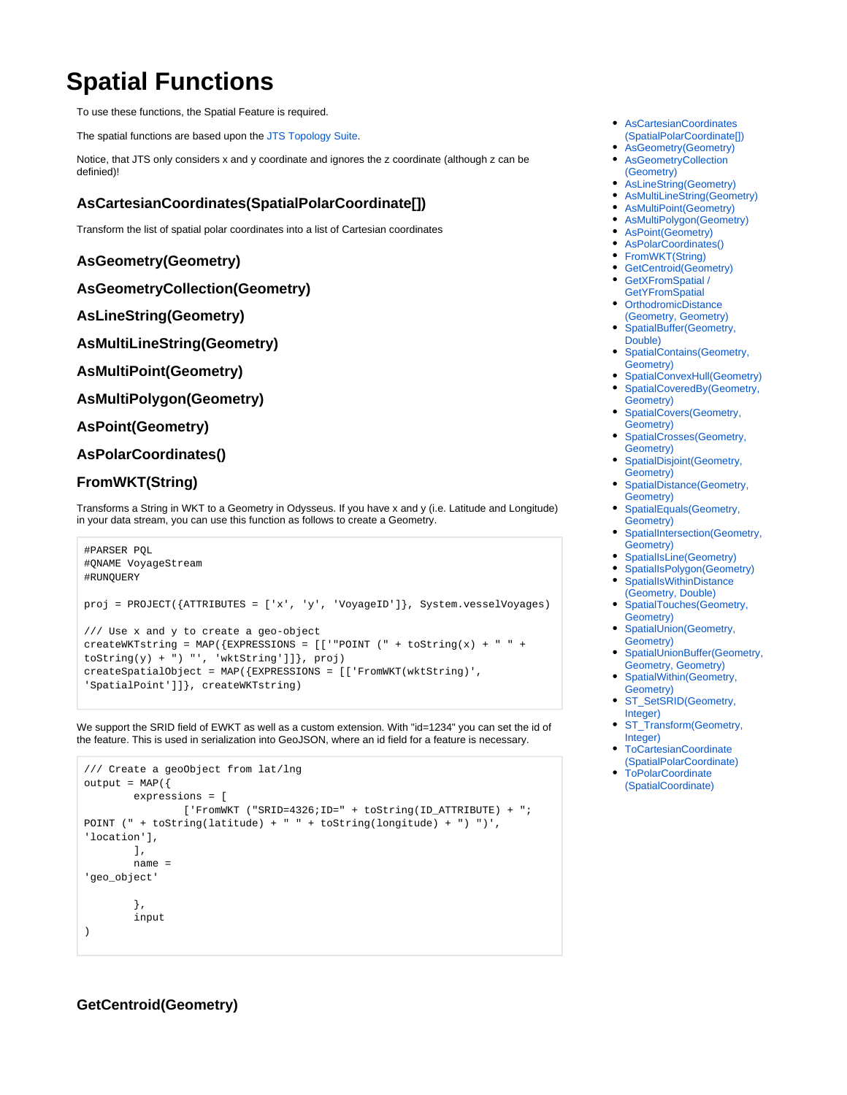# **Spatial Functions**

To use these functions, the Spatial Feature is required.

The spatial functions are based upon the [JTS Topology Suite.](https://github.com/locationtech/jts)

Notice, that JTS only considers x and y coordinate and ignores the z coordinate (although z can be definied)!

# <span id="page-0-0"></span>**AsCartesianCoordinates(SpatialPolarCoordinate[])**

Transform the list of spatial polar coordinates into a list of Cartesian coordinates

# <span id="page-0-1"></span>**AsGeometry(Geometry)**

```
AsGeometryCollection(Geometry)
```
## <span id="page-0-3"></span>**AsLineString(Geometry)**

<span id="page-0-4"></span>**AsMultiLineString(Geometry)**

## <span id="page-0-5"></span>**AsMultiPoint(Geometry)**

<span id="page-0-6"></span>**AsMultiPolygon(Geometry)**

## <span id="page-0-7"></span>**AsPoint(Geometry)**

## <span id="page-0-8"></span>**AsPolarCoordinates()**

## <span id="page-0-9"></span>**FromWKT(String)**

Transforms a String in WKT to a Geometry in Odysseus. If you have x and y (i.e. Latitude and Longitude) in your data stream, you can use this function as follows to create a Geometry.

```
#PARSER PQL
#QNAME VoyageStream
#RUNQUERY
proj = PROJECT({ATTRIBUTES = ['x', 'y', 'VoyageID']}, System.vesselVoyages)
/// Use x and y to create a geo-object
createWKTstring = MAP({EXPRESSIONS = [['"POINT ('" + toString(x) + " " +toString(y) + ")', 'wktString']]}, proj)
createSpatialObject = MAP({EXPRESSIONS = [['FromWKT(wktString)', 
'SpatialPoint']]}, createWKTstring)
```
We support the SRID field of EWKT as well as a custom extension. With "id=1234" you can set the id of the feature. This is used in serialization into GeoJSON, where an id field for a feature is necessary.

```
/// Create a geoObject from lat/lng
output = MAP({} expressions = [
                  ['FromWKT ("SRID=4326;ID=" + toString(ID_ATTRIBUTE) + ";
POINT (" + toString(latitude) + " " + toString(longitude) + ") ")', 
'location'],
         ],
         name = 
'geo_object' 
          },
         input
\lambda
```
- [AsCartesianCoordinates](#page-0-0) [\(SpatialPolarCoordinate\[\]\)](#page-0-0)
- [AsGeometry\(Geometry\)](#page-0-1)
- [AsGeometryCollection](#page-0-2) [\(Geometry\)](#page-0-2)
- [AsLineString\(Geometry\)](#page-0-3)
- [AsMultiLineString\(Geometry\)](#page-0-4)
- [AsMultiPoint\(Geometry\)](#page-0-5)  $\bullet$
- [AsMultiPolygon\(Geometry\)](#page-0-6)
- [AsPoint\(Geometry\)](#page-0-7) [AsPolarCoordinates\(\)](#page-0-8)
- [FromWKT\(String\)](#page-0-9)  $\bullet$
- [GetCentroid\(Geometry\)](#page-0-10)
- [GetXFromSpatial /](#page-1-0)
- **[GetYFromSpatial](#page-1-0)** • [OrthodromicDistance](#page-1-1)
- [\(Geometry, Geometry\)](#page-1-1)
- [SpatialBuffer\(Geometry,](#page-1-2)  [Double\)](#page-1-2)
- SpatialContains(Geometry, [Geometry\)](#page-1-3)
- [SpatialConvexHull\(Geometry\)](#page-1-4) • SpatialCoveredBy(Geometry,
- [Geometry\)](#page-1-5) [SpatialCovers\(Geometry,](#page-1-6)  [Geometry\)](#page-1-6)
- [SpatialCrosses\(Geometry,](#page-1-7)  [Geometry\)](#page-1-7)
- [SpatialDisjoint\(Geometry,](#page-1-8)  [Geometry\)](#page-1-8)
- [SpatialDistance\(Geometry,](#page-1-9)  [Geometry\)](#page-1-9)
- [SpatialEquals\(Geometry,](#page-1-10)  [Geometry\)](#page-1-10)
- [SpatialIntersection\(Geometry,](#page-1-11)  [Geometry\)](#page-1-11)
- [SpatialIsLine\(Geometry\)](#page-2-0) [SpatialIsPolygon\(Geometry\)](#page-2-1)
- [SpatialIsWithinDistance](#page-2-2) [\(Geometry, Double\)](#page-2-2)
- [SpatialTouches\(Geometry,](#page-2-3)  [Geometry\)](#page-2-3)
- [SpatialUnion\(Geometry,](#page-2-4)  [Geometry\)](#page-2-4)
- SpatialUnionBuffer(Geometry, [Geometry, Geometry\)](#page-2-5)
- [SpatialWithin\(Geometry,](#page-2-6)  [Geometry\)](#page-2-6)
- [ST\\_SetSRID\(Geometry,](#page-2-7)  [Integer\)](#page-2-7)
- ST\_Transform(Geometry, [Integer\)](#page-2-8)
- [ToCartesianCoordinate](#page-2-9) [\(SpatialPolarCoordinate\)](#page-2-9)
- **[ToPolarCoordinate](#page-2-10)** [\(SpatialCoordinate\)](#page-2-10)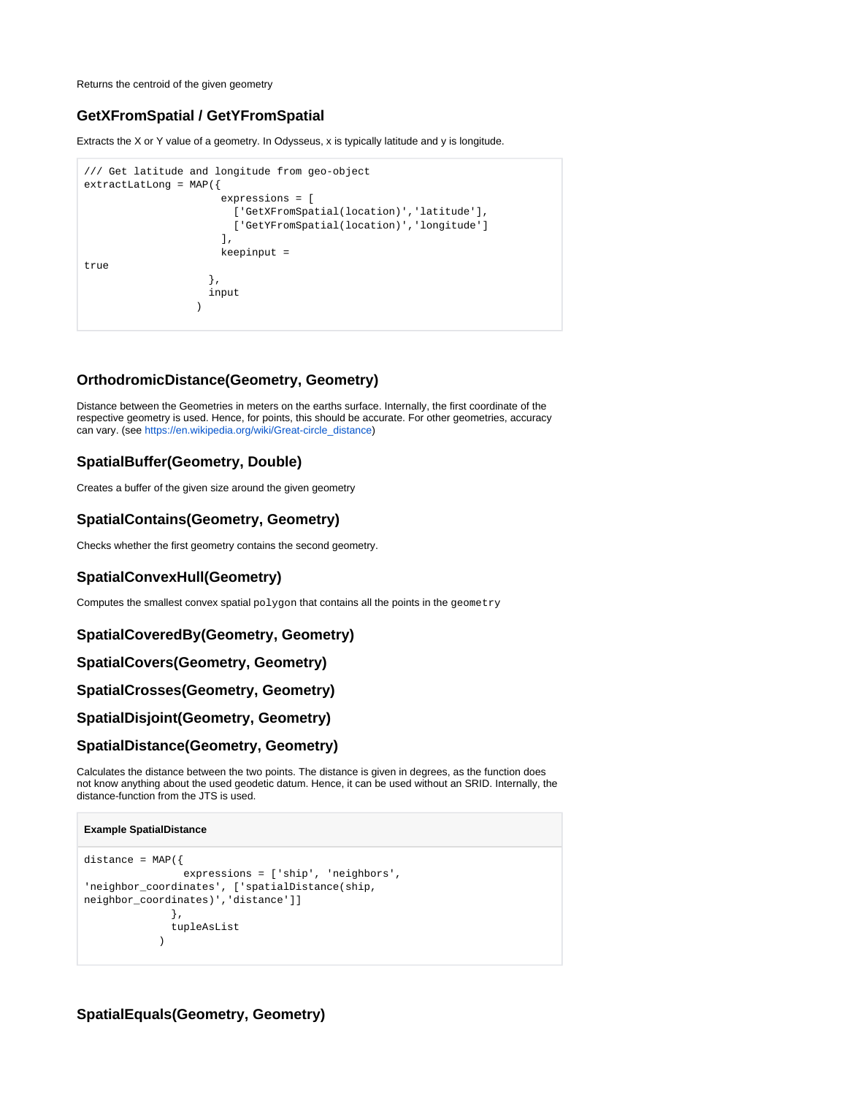Returns the centroid of the given geometry

# <span id="page-1-0"></span>**GetXFromSpatial / GetYFromSpatial**

Extracts the X or Y value of a geometry. In Odysseus, x is typically latitude and y is longitude.

```
/// Get latitude and longitude from geo-object
extractLatLong = MAP({
                    expressions = [
                     ['GetXFromSpatial(location)','latitude'],
                      ['GetYFromSpatial(location)','longitude']
 ],
                    keepinput = 
true 
                  },
                  input
 )
```
# <span id="page-1-1"></span>**OrthodromicDistance(Geometry, Geometry)**

Distance between the Geometries in meters on the earths surface. Internally, the first coordinate of the respective geometry is used. Hence, for points, this should be accurate. For other geometries, accuracy can vary. (see [https://en.wikipedia.org/wiki/Great-circle\\_distance\)](https://en.wikipedia.org/wiki/Great-circle_distance)

# <span id="page-1-2"></span>**SpatialBuffer(Geometry, Double)**

Creates a buffer of the given size around the given geometry

# <span id="page-1-3"></span>**SpatialContains(Geometry, Geometry)**

Checks whether the first geometry contains the second geometry.

# <span id="page-1-4"></span>**SpatialConvexHull(Geometry)**

Computes the smallest convex spatial polygon that contains all the points in the geometry

## <span id="page-1-5"></span>**SpatialCoveredBy(Geometry, Geometry)**

#### <span id="page-1-6"></span>**SpatialCovers(Geometry, Geometry)**

## <span id="page-1-7"></span>**SpatialCrosses(Geometry, Geometry)**

#### <span id="page-1-8"></span>**SpatialDisjoint(Geometry, Geometry)**

## <span id="page-1-9"></span>**SpatialDistance(Geometry, Geometry)**

Calculates the distance between the two points. The distance is given in degrees, as the function does not know anything about the used geodetic datum. Hence, it can be used without an SRID. Internally, the distance-function from the JTS is used.

#### **Example SpatialDistance**

```
distance = MAP({} expressions = ['ship', 'neighbors', 
'neighbor_coordinates', ['spatialDistance(ship, 
neighbor_coordinates)','distance']]
               },
                tupleAsList
\overline{\phantom{a}}
```
# <span id="page-1-11"></span><span id="page-1-10"></span>**SpatialEquals(Geometry, Geometry)**